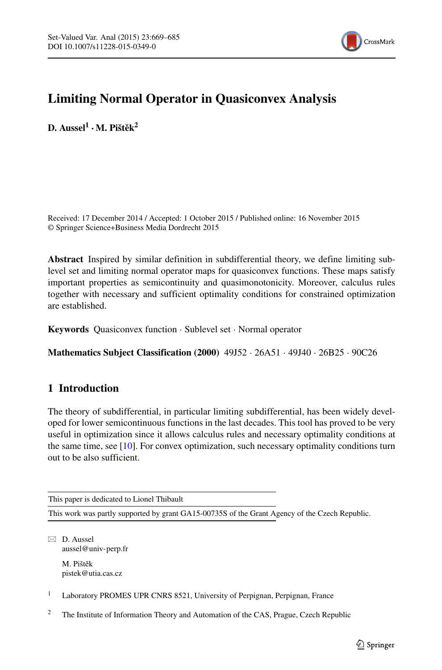

# **Limiting Normal Operator in Quasiconvex Analysis**

 $D.$  Aussel<sup>1</sup> · M. Pištěk<sup>2</sup>

Received: 17 December 2014 / Accepted: 1 October 2015 / Published online: 16 November 2015 © Springer Science+Business Media Dordrecht 2015

**Abstract** Inspired by similar definition in subdifferential theory, we define limiting sublevel set and limiting normal operator maps for quasiconvex functions. These maps satisfy important properties as semicontinuity and quasimonotonicity. Moreover, calculus rules together with necessary and sufficient optimality conditions for constrained optimization are established.

**Keywords** Quasiconvex function · Sublevel set · Normal operator

**Mathematics Subject Classification (2000)** 49J52 · 26A51 · 49J40 · 26B25 · 90C26

# **1 Introduction**

The theory of subdifferential, in particular limiting subdifferential, has been widely developed for lower semicontinuous functions in the last decades. This tool has proved to be very useful in optimization since it allows calculus rules and necessary optimality conditions at the same time, see [\[10\]](#page-16-0). For convex optimization, such necessary optimality conditions turn out to be also sufficient.

This paper is dedicated to Lionel Thibault

This work was partly supported by grant GA15-00735S of the Grant Agency of the Czech Republic.

 $\boxtimes$  D. Aussel [aussel@univ-perp.fr](mailto:aussel@univ-perp.fr) M. Pištěk

[pistek@utia.cas.cz](mailto:pistek@utia.cas.cz)

<sup>1</sup> Laboratory PROMES UPR CNRS 8521, University of Perpignan, Perpignan, France

<sup>2</sup> The Institute of Information Theory and Automation of the CAS, Prague, Czech Republic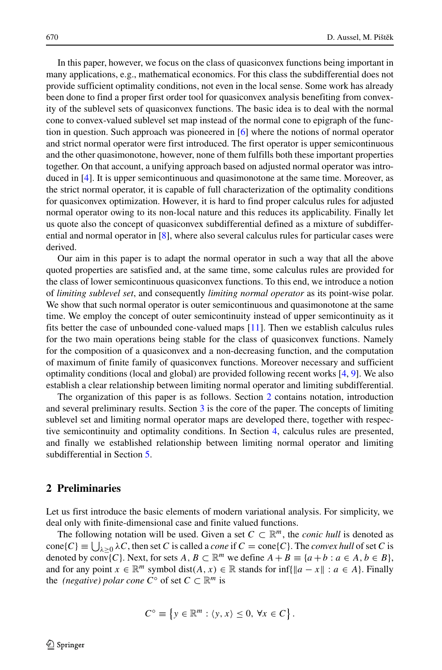In this paper, however, we focus on the class of quasiconvex functions being important in many applications, e.g., mathematical economics. For this class the subdifferential does not provide sufficient optimality conditions, not even in the local sense. Some work has already been done to find a proper first order tool for quasiconvex analysis benefiting from convexity of the sublevel sets of quasiconvex functions. The basic idea is to deal with the normal cone to convex-valued sublevel set map instead of the normal cone to epigraph of the function in question. Such approach was pioneered in [\[6\]](#page-16-1) where the notions of normal operator and strict normal operator were first introduced. The first operator is upper semicontinuous and the other quasimonotone, however, none of them fulfills both these important properties together. On that account, a unifying approach based on adjusted normal operator was introduced in [\[4\]](#page-16-2). It is upper semicontinuous and quasimonotone at the same time. Moreover, as the strict normal operator, it is capable of full characterization of the optimality conditions for quasiconvex optimization. However, it is hard to find proper calculus rules for adjusted normal operator owing to its non-local nature and this reduces its applicability. Finally let us quote also the concept of quasiconvex subdifferential defined as a mixture of subdifferential and normal operator in [\[8\]](#page-16-3), where also several calculus rules for particular cases were derived.

Our aim in this paper is to adapt the normal operator in such a way that all the above quoted properties are satisfied and, at the same time, some calculus rules are provided for the class of lower semicontinuous quasiconvex functions. To this end, we introduce a notion of *limiting sublevel set*, and consequently *limiting normal operator* as its point-wise polar. We show that such normal operator is outer semicontinuous and quasimonotone at the same time. We employ the concept of outer semicontinuity instead of upper semicontinuity as it fits better the case of unbounded cone-valued maps [\[11\]](#page-16-4). Then we establish calculus rules for the two main operations being stable for the class of quasiconvex functions. Namely for the composition of a quasiconvex and a non-decreasing function, and the computation of maximum of finite family of quasiconvex functions. Moreover necessary and sufficient optimality conditions (local and global) are provided following recent works [\[4,](#page-16-2) [9\]](#page-16-5). We also establish a clear relationship between limiting normal operator and limiting subdifferential.

The organization of this paper is as follows. Section [2](#page-1-0) contains notation, introduction and several preliminary results. Section [3](#page-3-0) is the core of the paper. The concepts of limiting sublevel set and limiting normal operator maps are developed there, together with respective semicontinuity and optimality conditions. In Section [4,](#page-10-0) calculus rules are presented, and finally we established relationship between limiting normal operator and limiting subdifferential in Section [5.](#page-12-0)

## <span id="page-1-0"></span>**2 Preliminaries**

Let us first introduce the basic elements of modern variational analysis. For simplicity, we deal only with finite-dimensional case and finite valued functions.

The following notation will be used. Given a set  $C \subset \mathbb{R}^m$ , the *conic hull* is denoted as  $cone(C) \equiv \bigcup_{\lambda \geq 0} \lambda C$ , then set *C* is called a *cone* if  $C = cone(C)$ . The *convex hull* of set *C* is denoted by conv $(C)$ . Next, for sets  $A, B \subset \mathbb{R}^m$  we define  $A + B \equiv \{a + b : a \in A, b \in B\}$ , and for any point *x* ∈  $\mathbb{R}^m$  symbol dist(*A*, *x*) ∈  $\mathbb{R}$  stands for inf{ $\|a - x\|$  : *a* ∈ *A*}. Finally the *(negative) polar cone*  $C^{\circ}$  of set  $C \subset \mathbb{R}^m$  is

$$
C^{\circ} \equiv \{ y \in \mathbb{R}^m : \langle y, x \rangle \leq 0, \forall x \in C \}.
$$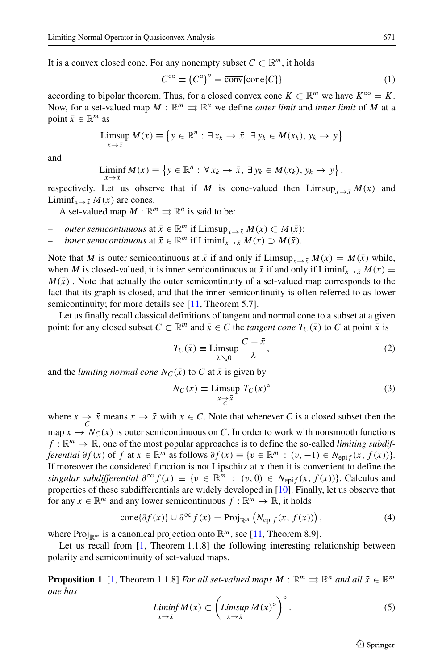It is a convex closed cone. For any nonempty subset  $C \subset \mathbb{R}^m$ , it holds

<span id="page-2-1"></span>
$$
C^{\circ\circ} \equiv \left(C^{\circ}\right)^{\circ} = \overline{\text{conv}}\{\text{cone}\{C\}\}\tag{1}
$$

according to bipolar theorem. Thus, for a closed convex cone  $K \subset \mathbb{R}^m$  we have  $K^{\circ\circ} = K$ . Now, for a set-valued map  $M : \mathbb{R}^m \Rightarrow \mathbb{R}^n$  we define *outer limit* and *inner limit* of M at a point  $\bar{x} \in \mathbb{R}^m$  as

$$
\limsup_{x \to \bar{x}} M(x) \equiv \left\{ y \in \mathbb{R}^n : \exists x_k \to \bar{x}, \exists y_k \in M(x_k), y_k \to y \right\}
$$

and

$$
\liminf_{x\to \bar{x}} M(x) \equiv \left\{ y \in \mathbb{R}^n : \forall x_k \to \bar{x}, \exists y_k \in M(x_k), y_k \to y \right\},\
$$

respectively. Let us observe that if *M* is cone-valued then  $\limsup_{x\to \bar{x}} M(x)$  and Liminf<sub>*x*→ $\bar{x}$ </sub> *M*(*x*) are cones.

A set-valued map  $M : \mathbb{R}^m \rightrightarrows \mathbb{R}^n$  is said to be:

- *outer semicontinuous* at  $\bar{x} \in \mathbb{R}^m$  if  $\text{Limsup}_{x \to \bar{x}} M(x) \subset M(\bar{x});$
- *inner semicontinuous* at  $\bar{x} \in \mathbb{R}^m$  if  $\text{Limin}f_{x \to \bar{x}} M(x) \supset M(\bar{x})$ .

Note that *M* is outer semicontinuous at  $\bar{x}$  if and only if Limsup<sub>*x*→ $\bar{y}$ </sub>  $M(x) = M(\bar{x})$  while, when *M* is closed-valued, it is inner semicontinuous at  $\bar{x}$  if and only if Liminf<sub>*x*→ $\bar{x}$ </sub>  $M(x)$  =  $M(\bar{x})$ . Note that actually the outer semicontinuity of a set-valued map corresponds to the fact that its graph is closed, and that the inner semicontinuity is often referred to as lower semicontinuity; for more details see [\[11,](#page-16-4) Theorem 5.7].

Let us finally recall classical definitions of tangent and normal cone to a subset at a given point: for any closed subset  $C \subset \mathbb{R}^m$  and  $\bar{x} \in C$  the *tangent cone*  $T_C(\bar{x})$  to  $C$  at point  $\bar{x}$  is

$$
T_C(\bar{x}) \equiv \limsup_{\lambda \searrow 0} \frac{C - \bar{x}}{\lambda},\tag{2}
$$

and the *limiting normal cone*  $N_C(\bar{x})$  to C at  $\bar{x}$  is given by

$$
N_C(\bar{x}) \equiv \limsup_{x \to \bar{x}} T_C(x)^\circ \tag{3}
$$

where  $x \to \bar{x}$  means  $x \to \bar{x}$  with  $x \in C$ . Note that whenever *C* is a closed subset then the map  $x \mapsto N_C(x)$  is outer semicontinuous on C. In order to work with nonsmooth functions  $f: \mathbb{R}^m \to \mathbb{R}$ , one of the most popular approaches is to define the so-called *limiting subdifferential*  $\partial f(x)$  of  $f$  at  $x \in \mathbb{R}^m$  as follows  $\partial f(x) \equiv \{v \in \mathbb{R}^m : (v, -1) \in N_{\text{epi}}(x, f(x))\}.$ If moreover the considered function is not Lipschitz at *x* then it is convenient to define the *singular subdifferential*  $\partial^{\infty} f(x) \equiv \{v \in \mathbb{R}^m : (v, 0) \in N_{\text{enif}}(x, f(x))\}$ . Calculus and properties of these subdifferentials are widely developed in [\[10\]](#page-16-0). Finally, let us observe that for any  $x \in \mathbb{R}^m$  and any lower semicontinuous  $f : \mathbb{R}^m \to \mathbb{R}$ , it holds

<span id="page-2-2"></span>
$$
\text{cone}\{\partial f(x)\} \cup \partial^{\infty} f(x) = \text{Proj}_{\mathbb{R}^m} \left( N_{\text{epi}f}(x, f(x)) \right),\tag{4}
$$

where Proj<sub>R*m*</sub> is a canonical projection onto  $\mathbb{R}^m$ , see [\[11,](#page-16-4) Theorem 8.9].

Let us recall from [\[1,](#page-16-6) Theorem 1.1.8] the following interesting relationship between polarity and semicontinuity of set-valued maps.

**Proposition 1** [\[1,](#page-16-6) Theorem 1.1.8] *For all set-valued maps*  $M : \mathbb{R}^m \rightrightarrows \mathbb{R}^n$  *and all*  $\bar{x} \in \mathbb{R}^m$ *one has*

<span id="page-2-0"></span>
$$
\liminf_{x \to \bar{x}} M(x) \subset \left( \limsup_{x \to \bar{x}} M(x)^{\circ} \right)^{\circ}.
$$
 (5)

 $\textcircled{2}$  Springer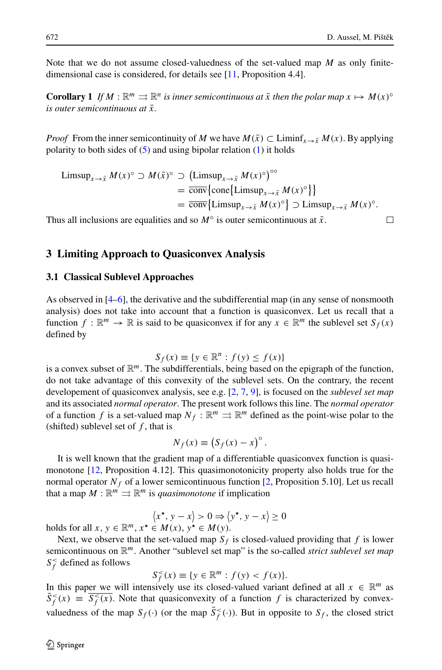Note that we do not assume closed-valuedness of the set-valued map *M* as only finitedimensional case is considered, for details see [\[11,](#page-16-4) Proposition 4.4].

**Corollary 1** *If*  $M : \mathbb{R}^m \rightrightarrows \mathbb{R}^n$  *is inner semicontinuous at*  $\bar{x}$  *then the polar map*  $x \mapsto M(x)^\circ$ *is outer semicontinuous at*  $\bar{x}$ *.* 

*Proof* From the inner semicontinuity of *M* we have  $M(\bar{x}) \subset$  Liminf<sub>*x*→ $\bar{x}$ </sub>  $M(x)$ . By applying polarity to both sides of  $(5)$  and using bipolar relation  $(1)$  it holds

$$
\begin{aligned} \text{Limsup}_{x \to \bar{x}} \, & M(x)^\circ \supset M(\bar{x})^\circ \supset \left( \text{Limsup}_{x \to \bar{x}} \, M(x)^\circ \right)^{\circ \circ} \\ &= \overline{\text{conv}} \{ \text{cone} \{ \text{Limsup}_{x \to \bar{x}} \, M(x)^\circ \} \} \\ &= \overline{\text{conv}} \{ \text{Limsup}_{x \to \bar{x}} \, M(x)^\circ \} \supset \text{Limsup}_{x \to \bar{x}} \, M(x)^\circ. \end{aligned}
$$

Thus all inclusions are equalities and so  $M^{\circ}$  is outer semicontinuous at  $\bar{x}$ .

 $\Box$ 

## <span id="page-3-0"></span>**3 Limiting Approach to Quasiconvex Analysis**

#### **3.1 Classical Sublevel Approaches**

As observed in [\[4](#page-16-2)[–6\]](#page-16-1), the derivative and the subdifferential map (in any sense of nonsmooth analysis) does not take into account that a function is quasiconvex. Let us recall that a function  $f: \mathbb{R}^m \to \mathbb{R}$  is said to be quasiconvex if for any  $x \in \mathbb{R}^m$  the sublevel set  $S_f(x)$ defined by

$$
S_f(x) \equiv \{ y \in \mathbb{R}^n : f(y) \le f(x) \}
$$

is a convex subset of R*m*. The subdifferentials, being based on the epigraph of the function, do not take advantage of this convexity of the sublevel sets. On the contrary, the recent developement of quasiconvex analysis, see e.g. [\[2,](#page-16-7) [7,](#page-16-8) [9\]](#page-16-5), is focused on the *sublevel set map* and its associated *normal operator*. The present work follows this line. The *normal operator* of a function *f* is a set-valued map  $N_f : \mathbb{R}^m \implies \mathbb{R}^m$  defined as the point-wise polar to the (shifted) sublevel set of *f* , that is

$$
N_f(x) \equiv \left(S_f(x) - x\right)^\circ.
$$

It is well known that the gradient map of a differentiable quasiconvex function is quasimonotone [\[12,](#page-16-9) Proposition 4.12]. This quasimonotonicity property also holds true for the normal operator  $N_f$  of a lower semicontinuous function [\[2,](#page-16-7) Proposition 5.10]. Let us recall that a map  $M : \mathbb{R}^m \rightrightarrows \mathbb{R}^m$  is *quasimonotone* if implication

$$
\langle x^\star, y - x \rangle > 0 \Rightarrow \langle y^\star, y - x \rangle \ge 0
$$
  
\n $\in M(x) \quad y^\star \in M(y)$ 

holds for all  $x, y \in \mathbb{R}^m$ ,  $x^* \in M(x)$ ,  $y^* \in M(y)$ .

Next, we observe that the set-valued map  $S_f$  is closed-valued providing that  $f$  is lower semicontinuous on R*m*. Another "sublevel set map" is the so-called *strict sublevel set map*  $S_f^{\lt}$  defined as follows

$$
S_f^<(x) \equiv \{ y \in \mathbb{R}^m : f(y) < f(x) \}.
$$

In this paper we will intensively use its closed-valued variant defined at all  $x \in \mathbb{R}^m$  as  $\bar{S}_f^<(x) \equiv \bar{S}_f^<(x)$ . Note that quasiconvexity of a function *f* is characterized by convexvaluedness of the map  $S_f(\cdot)$  (or the map  $\overline{S}_f^{\lt}(\cdot)$ ). But in opposite to  $S_f$ , the closed strict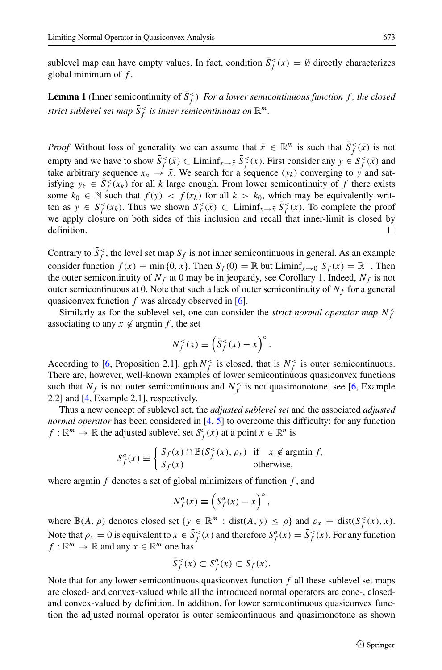sublevel map can have empty values. In fact, condition  $\bar{S}_f^<(x) = \emptyset$  directly characterizes global minimum of *f* .

**Lemma 1** (Inner semicontinuity of  $\bar{S}_f^{\lt}$ ) *For a lower semicontinuous function f, the closed*  $s$ *trict sublevel set map*  $\bar{S}_f^<$  *is inner semicontinuous on*  $\mathbb{R}^m$ *.* 

*Proof* Without loss of generality we can assume that  $\bar{x} \in \mathbb{R}^m$  is such that  $\bar{S}_f^<(x)$  is not empty and we have to show  $\bar{S}^<_{f}(\bar{x}) \subset \text{Limit}_{x \to \bar{x}} \bar{S}^<_{f}(x)$ . First consider any  $y \in S^<_{f}(\bar{x})$  and take arbitrary sequence  $x_n \rightarrow \bar{x}$ . We search for a sequence  $(y_k)$  converging to  $y$  and satisfying  $y_k \in \overline{S}^{\leq}_f(x_k)$  for all *k* large enough. From lower semicontinuity of *f* there exists some  $k_0 \in \mathbb{N}$  such that  $f(y) < f(x_k)$  for all  $k > k_0$ , which may be equivalently written as  $y \in S_f^<(x_k)$ . Thus we shown  $S_f^<(x) \subset \text{Limit}_{x \to \bar{x}} S_f^<(x)$ . To complete the proof we apply closure on both sides of this inclusion and recall that inner-limit is closed by definition.  $\Box$ 

Contrary to  $\bar{S}_f^<$ , the level set map  $S_f$  is not inner semicontinuous in general. As an example consider function  $f(x) \equiv \min\{0, x\}$ . Then  $S_f(0) = \mathbb{R}$  but Liminf<sub>*x*→0</sub>  $S_f(x) = \mathbb{R}^-$ . Then the outer semicontinuity of  $N_f$  at 0 may be in jeopardy, see Corollary 1. Indeed,  $N_f$  is not outer semicontinuous at 0. Note that such a lack of outer semicontinuity of  $N_f$  for a general quasiconvex function *f* was already observed in [\[6\]](#page-16-1).

Similarly as for the sublevel set, one can consider the *strict normal operator map*  $N_f^<$ associating to any  $x \notin \text{argmin } f$ , the set

$$
N_f^<(x) \equiv \left(\bar{S}_f^<(x) - x\right)^\circ.
$$

According to [\[6,](#page-16-1) Proposition 2.1], gph  $N_f^{\lt}$  is closed, that is  $N_f^{\lt}$  is outer semicontinuous. There are, however, well-known examples of lower semicontinuous quasiconvex functions such that  $N_f$  is not outer semicontinuous and  $N_f^{\lt}$  is not quasimonotone, see [\[6,](#page-16-1) Example 2.2] and [\[4,](#page-16-2) Example 2.1], respectively.

Thus a new concept of sublevel set, the *adjusted sublevel set* and the associated *adjusted normal operator* has been considered in [\[4,](#page-16-2) [5\]](#page-16-10) to overcome this difficulty: for any function  $f: \mathbb{R}^m \to \mathbb{R}$  the adjusted sublevel set  $S_f^a(x)$  at a point  $x \in \mathbb{R}^n$  is

$$
S_f^a(x) \equiv \begin{cases} S_f(x) \cap \mathbb{B}(S_f^<(x), \rho_x) & \text{if } x \notin \text{argmin } f, \\ S_f(x) & \text{otherwise,} \end{cases}
$$

where argmin *f* denotes a set of global minimizers of function *f* , and

$$
N_f^a(x) \equiv \left(S_f^a(x) - x\right)^\circ,
$$

where  $\mathbb{B}(A, \rho)$  denotes closed set  $\{y \in \mathbb{R}^m : dist(A, y) \le \rho\}$  and  $\rho_x \equiv dist(S_f^<(x), x)$ . Note that  $\rho_x = 0$  is equivalent to  $x \in \bar{S}_f^<(x)$  and therefore  $S_f^a(x) = \bar{S}_f^<(x)$ . For any function  $f: \mathbb{R}^m \to \mathbb{R}$  and any  $x \in \mathbb{R}^m$  one has

$$
\bar{S}_f^<(x) \subset S_f^a(x) \subset S_f(x).
$$

Note that for any lower semicontinuous quasiconvex function *f* all these sublevel set maps are closed- and convex-valued while all the introduced normal operators are cone-, closedand convex-valued by definition. In addition, for lower semicontinuous quasiconvex function the adjusted normal operator is outer semicontinuous and quasimonotone as shown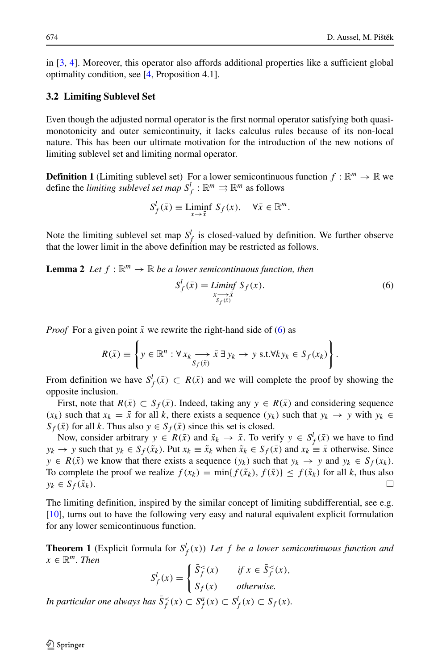in [\[3,](#page-16-11) [4\]](#page-16-2). Moreover, this operator also affords additional properties like a sufficient global optimality condition, see [\[4,](#page-16-2) Proposition 4.1].

#### **3.2 Limiting Sublevel Set**

Even though the adjusted normal operator is the first normal operator satisfying both quasimonotonicity and outer semicontinuity, it lacks calculus rules because of its non-local nature. This has been our ultimate motivation for the introduction of the new notions of limiting sublevel set and limiting normal operator.

**Definition 1** (Limiting sublevel set) For a lower semicontinuous function  $f : \mathbb{R}^m \to \mathbb{R}$  we define the *limiting sublevel set map*  $S_f^l : \mathbb{R}^m \rightrightarrows \mathbb{R}^m$  as follows

$$
S_f^l(\bar{x}) \equiv \liminf_{x \to \bar{x}} S_f(x), \quad \forall \bar{x} \in \mathbb{R}^m.
$$

Note the limiting sublevel set map  $S_f^l$  is closed-valued by definition. We further observe that the lower limit in the above definition may be restricted as follows.

**Lemma 2** *Let*  $f : \mathbb{R}^m \to \mathbb{R}$  *be a lower semicontinuous function, then* 

<span id="page-5-0"></span>
$$
S_f^l(\bar{x}) = \liminf_{\substack{x \to \bar{x} \\ s_f(\bar{x})}} S_f(x). \tag{6}
$$

*Proof* For a given point  $\bar{x}$  we rewrite the right-hand side of [\(6\)](#page-5-0) as

$$
R(\bar{x}) \equiv \left\{ y \in \mathbb{R}^n : \forall x_k \longrightarrow \bar{x} \exists y_k \rightarrow y \text{ s.t. } \forall k y_k \in S_f(x_k) \right\}.
$$

From definition we have  $S_f^l(\bar{x}) \subset R(\bar{x})$  and we will complete the proof by showing the opposite inclusion.

First, note that  $R(\bar{x}) \subset S_f(\bar{x})$ . Indeed, taking any  $y \in R(\bar{x})$  and considering sequence *(xk)* such that  $x_k = \bar{x}$  for all *k*, there exists a sequence *(yk)* such that  $y_k \rightarrow y$  with  $y_k$  ∈  $S_f(\bar{x})$  for all *k*. Thus also  $y \in S_f(\bar{x})$  since this set is closed.

Now, consider arbitrary  $y \in R(\bar{x})$  and  $\tilde{x}_k \to \bar{x}$ . To verify  $y \in S_f^l(\bar{x})$  we have to find *y<sub>k</sub>* → *y* such that  $y_k$  ∈  $S_f(\tilde{x}_k)$ . Put  $x_k \equiv \tilde{x}_k$  when  $\tilde{x}_k$  ∈  $S_f(\bar{x})$  and  $x_k \equiv \bar{x}$  otherwise. Since *y* ∈ *R*( $\bar{x}$ ) we know that there exists a sequence  $(y_k)$  such that  $y_k \rightarrow y$  and  $y_k \in S_f(x_k)$ . To complete the proof we realize  $f(x_k) = \min\{f(\tilde{x}_k), f(\bar{x})\} \le f(\tilde{x}_k)$  for all *k*, thus also  $v_k \in S_f(\tilde{x}_k)$ .  $y_k \in S_f(\tilde{x}_k)$ .

The limiting definition, inspired by the similar concept of limiting subdifferential, see e.g. [\[10\]](#page-16-0), turns out to have the following very easy and natural equivalent explicit formulation for any lower semicontinuous function.

**Theorem 1** (Explicit formula for  $S_f^l(x)$ ) Let f be a lower semicontinuous function and  $x \in \mathbb{R}^m$ *. Then* 

$$
S_f^l(x) = \begin{cases} \bar{S}_f^<(x) & \text{if } x \in \bar{S}_f^<(x), \\ S_f(x) & \text{otherwise.} \end{cases}
$$
\nIn particular one always has  $\bar{S}_f^<(x) \subset S_f^a(x) \subset S_f^l(x) \subset S_f(x)$ .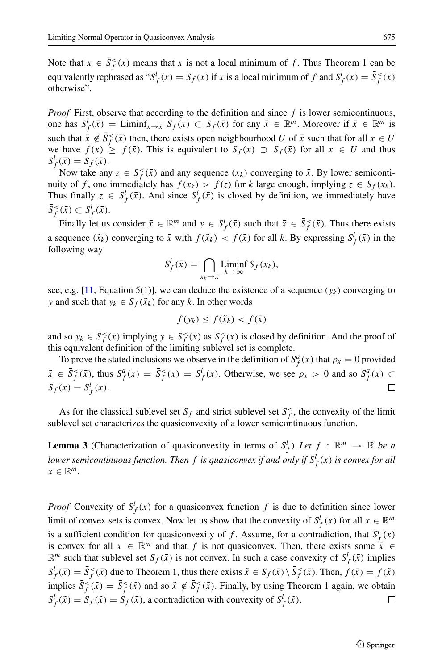Note that  $x \in \overline{S}_f^<(x)$  means that *x* is not a local minimum of *f*. Thus Theorem 1 can be equivalently rephrased as " $S_f^l(x) = S_f(x)$  if *x* is a local minimum of *f* and  $S_f^l(x) = \overline{S}_f^<(x)$ otherwise".

*Proof* First, observe that according to the definition and since *f* is lower semicontinuous, one has  $S_f^l(\bar{x}) =$  Liminf<sub>*x*→ $\bar{x}$ </sub>  $S_f(x) \subset S_f(\bar{x})$  for any  $\bar{x} \in \mathbb{R}^m$ . Moreover if  $\bar{x} \in \mathbb{R}^m$  is such that  $\bar{x} \notin \bar{S}_f^{\leq}(\bar{x})$  then, there exists open neighbourhood *U* of  $\bar{x}$  such that for all  $x \in U$ we have  $f(x) \geq f(\bar{x})$ . This is equivalent to  $S_f(x) \supset S_f(\bar{x})$  for all  $x \in U$  and thus  $S_f^l(\bar{x}) = S_f(\bar{x})$ .

Now take any  $z \in S_f^{\leq}(\bar{x})$  and any sequence  $(x_k)$  converging to  $\bar{x}$ . By lower semicontinuity of *f*, one immediately has  $f(x_k) > f(z)$  for *k* large enough, implying  $z \in S_f(x_k)$ . Thus finally  $z \in S_f^l(\bar{x})$ . And since  $S_f^l(\bar{x})$  is closed by definition, we immediately have  $\bar{S}_f^{\leq}(\bar{x}) \subset S_f^l(\bar{x})$ .

Finally let us consider  $\bar{x} \in \mathbb{R}^m$  and  $y \in S_f^l(\bar{x})$  such that  $\bar{x} \in \bar{S}_f^{\leq}(\bar{x})$ . Thus there exists a sequence  $(\tilde{x}_k)$  converging to  $\bar{x}$  with  $f(\tilde{x}_k) < f(\bar{x})$  for all *k*. By expressing  $S^l_f(\bar{x})$  in the following way

$$
S_f^l(\bar{x}) = \bigcap_{x_k \to \bar{x}} \text{Limin} \, S_f(x_k),
$$

see, e.g.  $[11,$  Equation 5(1)], we can deduce the existence of a sequence  $(y_k)$  converging to *y* and such that  $y_k \in S_f(\tilde{x}_k)$  for any *k*. In other words

$$
f(y_k) \le f(\tilde{x}_k) < f(\bar{x})
$$

and so  $y_k \in \overline{S}_f^{\leq}(x)$  implying  $y \in \overline{S}_f^{\leq}(x)$  as  $\overline{S}_f^{\leq}(x)$  is closed by definition. And the proof of this equivalent definition of the limiting sublevel set is complete.

To prove the stated inclusions we observe in the definition of  $S_f^a(x)$  that  $\rho_x = 0$  provided  $\bar{x} \in \bar{S}_f^{\leq}(\bar{x})$ , thus  $S_f^a(x) = \bar{S}_f^{\leq}(x) = S_f^l(x)$ . Otherwise, we see  $\rho_x > 0$  and so  $S_f^a(x) \subset$  $S_f(x) = S_f^l(x)$ . П

As for the classical sublevel set  $S_f$  and strict sublevel set  $S_f^<$ , the convexity of the limit sublevel set characterizes the quasiconvexity of a lower semicontinuous function.

**Lemma 3** (Characterization of quasiconvexity in terms of  $S_f^l$ ) Let  $f : \mathbb{R}^m \to \mathbb{R}$  be a *lower semicontinuous function. Then f is quasiconvex if and only if S<sup>l</sup> <sup>f</sup> (x) is convex for all*  $x \in \mathbb{R}^m$ .

*Proof* Convexity of  $S_f^l(x)$  for a quasiconvex function *f* is due to definition since lower limit of convex sets is convex. Now let us show that the convexity of  $S_f^l(x)$  for all  $x \in \mathbb{R}^m$ is a sufficient condition for quasiconvexity of *f*. Assume, for a contradiction, that  $S_f^l(x)$ is convex for all  $x \in \mathbb{R}^m$  and that *f* is not quasiconvex. Then, there exists some  $\bar{x} \in$  $\mathbb{R}^m$  such that sublevel set  $S_f(\bar{x})$  is not convex. In such a case convexity of  $S_f^l(\bar{x})$  implies  $S_f^l(\bar{x}) = \bar{S}_f^{\leq}(\bar{x})$  due to Theorem 1, thus there exists  $\tilde{x} \in S_f(\bar{x}) \setminus \bar{S}_f^{\leq}(\bar{x})$ . Then,  $f(\bar{x}) = f(\tilde{x})$ implies  $\bar{S}_f^{\leq}(\bar{x}) = \bar{S}_f^{\leq}(\tilde{x})$  and so  $\tilde{x} \notin \bar{S}_f^{\leq}(\tilde{x})$ . Finally, by using Theorem 1 again, we obtain  $S_f^l(\tilde{x}) = S_f(\tilde{x}) = S_f(\tilde{x})$ , a contradiction with convexity of  $S_f^l(\tilde{x})$ . □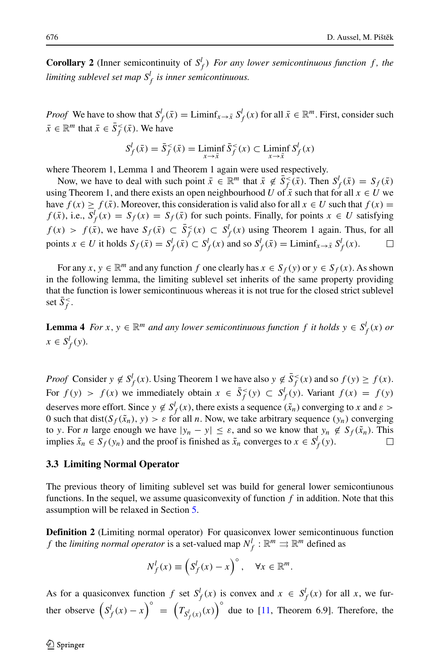**Corollary 2** (Inner semicontinuity of  $S_f^l$ ) *For any lower semicontinuous function f, the limiting sublevel set map S<sup>l</sup> <sup>f</sup> is inner semicontinuous.*

*Proof* We have to show that  $S_f^l(\bar{x}) = \text{Limit}_{x \to \bar{x}} S_f^l(x)$  for all  $\bar{x} \in \mathbb{R}^m$ . First, consider such  $\bar{x} \in \mathbb{R}^m$  that  $\bar{x} \in \bar{S}^{\lt}_{f}(\bar{x})$ . We have

$$
S_f^l(\bar{x}) = \bar{S}_f^<( \bar{x}) = \liminf_{x \to \bar{x}} \bar{S}_f^>(x) \subset \liminf_{x \to \bar{x}} S_f^l(x)
$$

where Theorem 1, Lemma 1 and Theorem 1 again were used respectively.

Now, we have to deal with such point  $\bar{x} \in \mathbb{R}^m$  that  $\bar{x} \notin \bar{S}_f^{\leq}(\bar{x})$ . Then  $S_f^l(\bar{x}) = S_f(\bar{x})$ using Theorem 1, and there exists an open neighbourhood *U* of  $\bar{x}$  such that for all  $x \in U$  we have  $f(x) \ge f(\bar{x})$ . Moreover, this consideration is valid also for all  $x \in U$  such that  $f(x) =$  $f(\bar{x})$ , i.e.,  $S_f^l(x) = S_f(x) = S_f(\bar{x})$  for such points. Finally, for points  $x \in U$  satisfying *f*(*x*) > *f*( $\bar{x}$ ), we have *S<sub>f</sub>*( $\bar{x}$ ) ⊂  $\bar{S}^2$ <sub>*f*</sub>( $x$ ) ⊂ *S*<sup>*l<sub>f</sub>*( $x$ ) using Theorem 1 again. Thus, for all</sup> points  $x \in U$  it holds  $S_f(\bar{x}) = S_f^l(\bar{x}) \subset S_f^l(x)$  and so  $S_f^l(\bar{x}) = \text{Limit}_{x \to \bar{x}} S_f^l(x)$ .  $\Box$ 

For any  $x, y \in \mathbb{R}^m$  and any function  $f$  one clearly has  $x \in S_f(y)$  or  $y \in S_f(x)$ . As shown in the following lemma, the limiting sublevel set inherits of the same property providing that the function is lower semicontinuous whereas it is not true for the closed strict sublevel set  $\bar{S}_f^{\lt}$ .

**Lemma 4** *For*  $x, y \in \mathbb{R}^m$  *and any lower semicontinuous function*  $f$  *it holds*  $y \in S_f^l(x)$  *or*  $x \in S_f^l(y)$ *.* 

*Proof* Consider  $y \notin S_f^l(x)$ . Using Theorem 1 we have also  $y \notin \overline{S}_f^<(x)$  and so  $f(y) \ge f(x)$ . For  $f(y) > f(x)$  we immediately obtain  $x \in \overline{S}_f^{\lt}(y) \subset S_f^l(y)$ . Variant  $f(x) = f(y)$ deserves more effort. Since  $y \notin S_f^l(x)$ , there exists a sequence  $(\tilde{x}_n)$  converging to *x* and  $\varepsilon >$ 0 such that dist( $S_f(\tilde{x}_n)$ ,  $y$ ) >  $\varepsilon$  for all *n*. Now, we take arbitrary sequence  $(y_n)$  converging to *y*. For *n* large enough we have  $|y_n - y| \le \varepsilon$ , and so we know that  $y_n \notin S_f(\tilde{x}_n)$ . This implies  $\tilde{x}_n \in S_f(v_n)$  and the proof is finished as  $\tilde{x}_n$  converges to  $x \in S_f(v)$ . implies  $\tilde{x}_n \in S_f(y_n)$  and the proof is finished as  $\tilde{x}_n$  converges to  $x \in S_f^l(y)$ .

#### **3.3 Limiting Normal Operator**

The previous theory of limiting sublevel set was build for general lower semicontiunous functions. In the sequel, we assume quasiconvexity of function *f* in addition. Note that this assumption will be relaxed in Section [5.](#page-12-0)

**Definition 2** (Limiting normal operator) For quasiconvex lower semicontinuous function *f* the *limiting normal operator* is a set-valued map  $N_f^l : \mathbb{R}^m \rightrightarrows \mathbb{R}^m$  defined as

$$
N_f^l(x) \equiv \left(S_f^l(x) - x\right)^\circ, \quad \forall x \in \mathbb{R}^m.
$$

As for a quasiconvex function *f* set  $S_f^l(x)$  is convex and  $x \in S_f^l(x)$  for all *x*, we further observe  $(S_f^l(x) - x)^{\circ} = (T_{S_f^l(x)}(x))^{\circ}$  due to [\[11,](#page-16-4) Theorem 6.9]. Therefore, the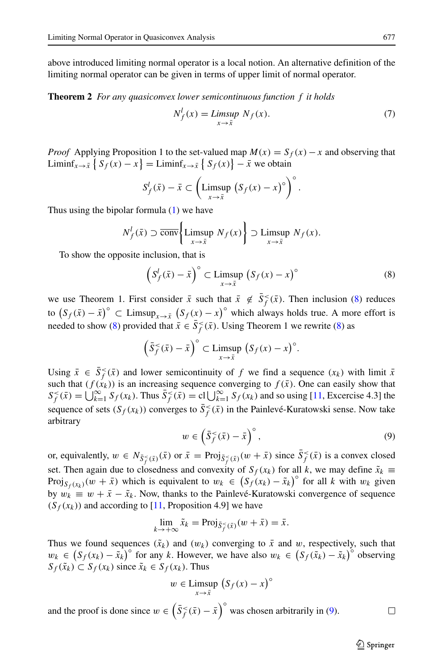above introduced limiting normal operator is a local notion. An alternative definition of the limiting normal operator can be given in terms of upper limit of normal operator.

**Theorem 2** *For any quasiconvex lower semicontinuous function f it holds*

$$
N_f^l(x) = \limsup_{x \to \bar{x}} N_f(x). \tag{7}
$$

*Proof* Applying Proposition 1 to the set-valued map  $M(x) = S_f(x) - x$  and observing that Liminf<sub>*x*→ $\bar{x}$ </sub>  $\left\{ S_f(x) - x \right\}$  = Liminf<sub>*x*→ $\bar{x}$ </sub>  $\left\{ S_f(x) \right\}$  –  $\bar{x}$  we obtain

$$
S_f^l(\bar{x}) - \bar{x} \subset \left(\text{Limsup } (S_f(x) - x)^{\circ}\right)^{\circ}.
$$

Thus using the bipolar formula [\(1\)](#page-2-1) we have

$$
N_f^l(\bar{x}) \supset \overline{\text{conv}}\left\{\text{Limsup } N_f(x)\right\} \supset \text{Limsup } N_f(x).
$$

To show the opposite inclusion, that is

<span id="page-8-0"></span>
$$
\left(S_f^l(\bar{x}) - \bar{x}\right)^\circ \subset \text{Limsup}\left(S_f(x) - x\right)^\circ \tag{8}
$$

we use Theorem 1. First consider  $\bar{x}$  such that  $\bar{x} \notin \bar{S}_f^{\leq}(\bar{x})$ . Then inclusion [\(8\)](#page-8-0) reduces to  $(S_f(\bar{x}) - \bar{x})^{\circ}$  ⊂ Limsup<sub>*x*→ $\bar{x}$ </sub>  $(S_f(x) - x)^{\circ}$  which always holds true. A more effort is needed to show [\(8\)](#page-8-0) provided that  $\bar{x} \in \bar{S}_f^{\leq}(\bar{x})$ . Using Theorem 1 we rewrite (8) as

$$
\left(\bar{S}_f^<\bar{x}) - \bar{x}\right)^\circ \subset \limsup_{x \to \bar{x}} \left(S_f(x) - x\right)^\circ.
$$

Using  $\bar{x} \in \bar{S}_f^{\leq}(\bar{x})$  and lower semicontinuity of *f* we find a sequence  $(x_k)$  with limit  $\bar{x}$ such that  $(f(x_k))$  is an increasing sequence converging to  $f(\bar{x})$ . One can easily show that  $S_f^<(x) = \bigcup_{k=1}^{\infty} S_f(x_k)$ . Thus  $\bar{S}_f^<(x) = \text{cl}\bigcup_{k=1}^{\infty} S_f(x_k)$  and so using [\[11,](#page-16-4) Excercise 4.3] the sequence of sets  $(S_f(x_k))$  converges to  $\overline{S}_f^{\lt}(\overline{x})$  in the Painlevé-Kuratowski sense. Now take arbitrary

<span id="page-8-1"></span>
$$
w \in \left(\bar{S}_f^{\leq}(\bar{x}) - \bar{x}\right)^{\circ},\tag{9}
$$

or, equivalently,  $w \in N_{\bar{S}_{f}^{<}(\bar{x})}(\bar{x})$  or  $\bar{x} = \text{Proj}_{\bar{S}_{f}^{<}(\bar{x})}(w + \bar{x})$  since  $\bar{S}_{f}^{<}(\bar{x})$  is a convex closed set. Then again due to closedness and convexity of  $S_f(x_k)$  for all *k*, we may define  $\tilde{x}_k \equiv$ Proj<sub> $S_f(x_k)(w + \bar{x})$  which is equivalent to  $w_k \in (S_f(x_k) - \tilde{x}_k)^{\circ}$  for all *k* with  $w_k$  given</sub> by  $w_k \equiv w + \bar{x} - \tilde{x}_k$ . Now, thanks to the Painlevé-Kuratowski convergence of sequence  $(S_f(x_k))$  and according to [\[11,](#page-16-4) Proposition 4.9] we have

$$
\lim_{k \to +\infty} \tilde{x}_k = \text{Proj}_{\bar{S}^{\leq}_f(\bar{x})}(w + \bar{x}) = \bar{x}.
$$

Thus we found sequences  $(\tilde{x}_k)$  and  $(w_k)$  converging to  $\bar{x}$  and  $w$ , respectively, such that *w<sub>k</sub>* ∈  $(S_f(x_k) - \tilde{x}_k)^{\circ}$  for any *k*. However, we have also  $w_k$  ∈  $(S_f(\tilde{x}_k) - \tilde{x}_k)^{\circ}$  observing  $S_f(\tilde{x}_k)$  ⊂  $S_f(x_k)$  since  $\tilde{x}_k$  ∈  $S_f(x_k)$ . Thus

$$
w \in \underset{x \to \bar{x}}{\text{Limsup}} \left( S_f(x) - x \right)^{\circ}
$$

and the proof is done since  $w \in (\bar{S}_f^{\leq}(\bar{x}) - \bar{x})^\circ$  was chosen arbitrarily in [\(9\)](#page-8-1). □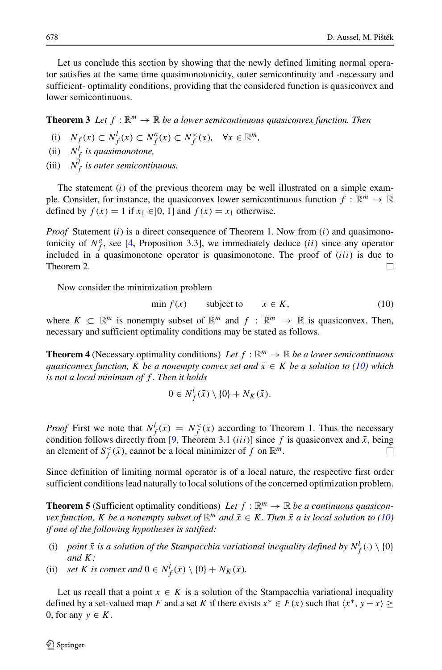Let us conclude this section by showing that the newly defined limiting normal operator satisfies at the same time quasimonotonicity, outer semicontinuity and -necessary and sufficient- optimality conditions, providing that the considered function is quasiconvex and lower semicontinuous.

**Theorem 3** Let  $f : \mathbb{R}^m \to \mathbb{R}$  be a lower semicontinuous quasiconvex function. Then

- (i)  $N_f(x) \subset N_f^l(x) \subset N_f^a(x) \subset N_f^<(x), \quad \forall x \in \mathbb{R}^m,$
- (ii)  $N_f^l$  *is quasimonotone,*
- (iii)  $N_f^l$  *is outer semicontinuous.*

The statement (*i*) of the previous theorem may be well illustrated on a simple example. Consider, for instance, the quasiconvex lower semicontinuous function  $f : \mathbb{R}^m \to \mathbb{R}$ defined by  $f(x) = 1$  if  $x_1 \in ]0, 1]$  and  $f(x) = x_1$  otherwise.

*Proof* Statement (*i*) is a direct consequence of Theorem 1. Now from (*i*) and quasimonotonicity of  $N_f^a$ , see [\[4,](#page-16-2) Proposition 3.3], we immediately deduce *(ii)* since any operator included in a quasimonotone operator is quasimonotone. The proof of (*iii*) is due to Theorem 2.  $\Box$ 

Now consider the minimization problem

<span id="page-9-0"></span>
$$
\min f(x) \qquad \text{subject to} \qquad x \in K,\tag{10}
$$

where  $K \subset \mathbb{R}^m$  is nonempty subset of  $\mathbb{R}^m$  and  $f : \mathbb{R}^m \to \mathbb{R}$  is quasiconvex. Then, necessary and sufficient optimality conditions may be stated as follows.

**Theorem 4** (Necessary optimality conditions) *Let*  $f : \mathbb{R}^m \to \mathbb{R}$  *be a lower semicontinuous quasiconvex function, K be a nonempty convex set and*  $\bar{x} \in K$  *be a solution to [\(10\)](#page-9-0)* which *is not a local minimum of f . Then it holds*

$$
0 \in N_f^l(\bar{x}) \setminus \{0\} + N_K(\bar{x}).
$$

*Proof* First we note that  $N_f^l(\bar{x}) = N_f^<(\bar{x})$  according to Theorem 1. Thus the necessary condition follows directly from [\[9,](#page-16-5) Theorem 3.1 *(iii)*] since *f* is quasiconvex and  $\bar{x}$ , being an element of  $\bar{S}(\bar{x})$ , cannot be a local minimizer of *f* on  $\mathbb{R}^m$ . an element of  $\bar{S}_f^{\lt}(\bar{x})$ , cannot be a local minimizer of f on  $\mathbb{R}^m$ .

Since definition of limiting normal operator is of a local nature, the respective first order sufficient conditions lead naturally to local solutions of the concerned optimization problem.

**Theorem 5** (Sufficient optimality conditions) Let  $f : \mathbb{R}^m \to \mathbb{R}$  be a continuous quasicon*vex function, K be a nonempty subset of*  $\mathbb{R}^m$  *and*  $\bar{x} \in K$ *. Then*  $\bar{x}$  *a is local solution to* [\(10\)](#page-9-0) *if one of the following hypotheses is satified:*

- (i) *point*  $\bar{x}$  *is a solution of the Stampacchia variational inequality defined by*  $N_f^l(\cdot) \setminus \{0\}$ *and K;*
- (ii) *set K is convex and*  $0 \in N_f^l(\bar{x}) \setminus \{0\} + N_K(\bar{x})$ *.*

Let us recall that a point  $x \in K$  is a solution of the Stampacchia variational inequality defined by a set-valued map *F* and a set *K* if there exists  $x^* \in F(x)$  such that  $\langle x^*, y - x \rangle \ge$ 0, for any  $y \in K$ .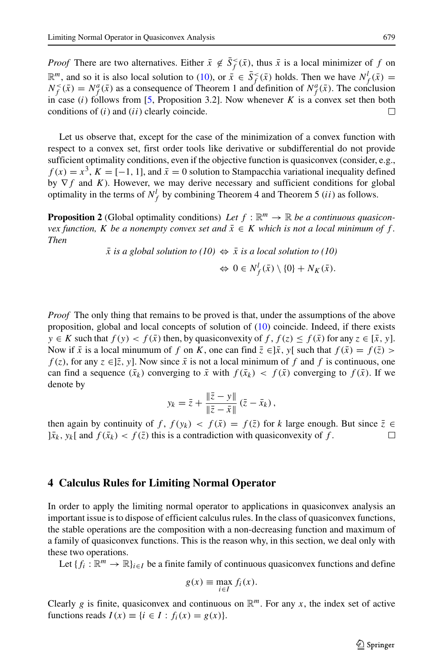*Proof* There are two alternatives. Either  $\bar{x} \notin \bar{S}_f^{\leq}(\bar{x})$ , thus  $\bar{x}$  is a local minimizer of *f* on  $\mathbb{R}^m$ , and so it is also local solution to [\(10\)](#page-9-0), or  $\bar{x} \in \bar{S}_f^{\leq}(\bar{x})$  holds. Then we have  $N_f^l(\bar{x}) =$  $N_f^<(x) = N_f^a(\bar{x})$  as a consequence of Theorem 1 and definition of  $N_f^a(\bar{x})$ . The conclusion in case  $(i)$  follows from [\[5,](#page-16-10) Proposition 3.2]. Now whenever *K* is a convex set then both conditions of (*i*) and (*ii*) clearly coincide.  $\Box$ 

Let us observe that, except for the case of the minimization of a convex function with respect to a convex set, first order tools like derivative or subdifferential do not provide sufficient optimality conditions, even if the objective function is quasiconvex (consider, e.g.,  $f(x) = x<sup>3</sup>$ ,  $K = [-1, 1]$ , and  $\bar{x} = 0$  solution to Stampacchia variational inequality defined by ∇*f* and *K*). However, we may derive necessary and sufficient conditions for global optimality in the terms of  $N_f^l$  by combining Theorem 4 and Theorem 5 (*ii*) as follows.

**Proposition 2** (Global optimality conditions) Let  $f : \mathbb{R}^m \to \mathbb{R}$  be a continuous quasicon*vex function, K be a nonempty convex set and*  $\bar{x} \in K$  *which is not a local minimum of f*. *Then*

 $\bar{x}$  *is a global solution to (10)*  $\Leftrightarrow \bar{x}$  *is a local solution to (10)* 

$$
\Leftrightarrow 0 \in N_f^l(\bar{x}) \setminus \{0\} + N_K(\bar{x}).
$$

*Proof* The only thing that remains to be proved is that, under the assumptions of the above proposition, global and local concepts of solution of [\(10\)](#page-9-0) coincide. Indeed, if there exists *y* ∈ *K* such that  $f(y) < f(\bar{x})$  then, by quasiconvexity of *f*,  $f(z) ≤ f(\bar{x})$  for any  $z ∈ [\bar{x}, y]$ . Now if  $\bar{x}$  is a local minumum of *f* on *K*, one can find  $\bar{z} \in ]\bar{x}$ , y[ such that  $f(\bar{x}) = f(\bar{z}) >$ *f*(*z*), for any  $z \in ]\overline{z}$ , y]. Now since  $\overline{x}$  is not a local minimum of *f* and *f* is continuous, one can find a sequence  $(\bar{x}_k)$  converging to  $\bar{x}$  with  $f(\bar{x}_k) < f(\bar{x})$  converging to  $f(\bar{x})$ . If we denote by

$$
y_k = \bar{z} + \frac{\|\bar{z} - y\|}{\|\bar{z} - \bar{x}\|} (\bar{z} - \bar{x}_k),
$$

then again by continuity of *f*,  $f(y_k) < f(\bar{x}) = f(\bar{z})$  for *k* large enough. But since  $\bar{z} \in \bar{x}_k$ ,  $y_k$  and  $f(\bar{x}_k) < f(\bar{z})$  this is a contradiction with quasiconvexity of *f*.  $|\bar{x}_k, y_k|$  and  $f(\bar{x}_k) < f(\bar{z})$  this is a contradiction with quasiconvexity of f.

#### <span id="page-10-0"></span>**4 Calculus Rules for Limiting Normal Operator**

In order to apply the limiting normal operator to applications in quasiconvex analysis an important issue is to dispose of efficient calculus rules. In the class of quasiconvex functions, the stable operations are the composition with a non-decreasing function and maximum of a family of quasiconvex functions. This is the reason why, in this section, we deal only with these two operations.

Let  ${f_i : \mathbb{R}^m \to \mathbb{R}}_{i \in I}$  be a finite family of continuous quasiconvex functions and define

$$
g(x) \equiv \max_{i \in I} f_i(x).
$$

Clearly *g* is finite, quasiconvex and continuous on  $\mathbb{R}^m$ . For any *x*, the index set of active functions reads  $I(x) \equiv \{i \in I : f_i(x) = g(x)\}.$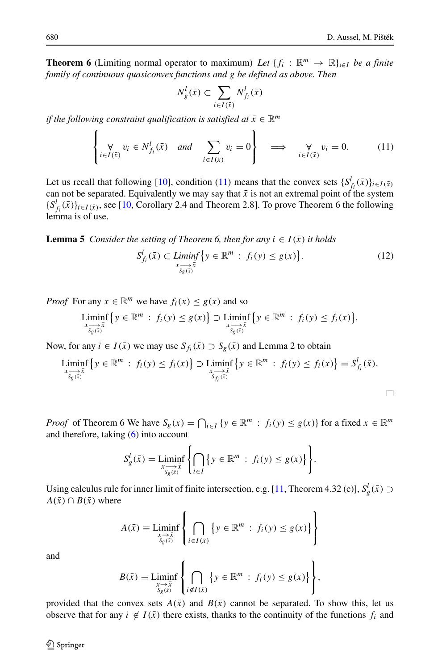$\Box$ 

**Theorem 6** (Limiting normal operator to maximum) *Let*  $\{f_i : \mathbb{R}^m \to \mathbb{R}\}_{i \in I}$  *be a finite family of continuous quasiconvex functions and g be defined as above. Then*

$$
N_g^l(\bar x)\subset \sum_{i\in I(\bar x)}N_{f_i}^l(\bar x)
$$

*if the following constraint qualification is satisfied at*  $\bar{x} \in \mathbb{R}^m$ 

<span id="page-11-0"></span>
$$
\left\{\n\begin{aligned}\n\forall \psi_i \in N_{f_i}^l(\bar{x}) \quad \text{and} \quad \sum_{i \in I(\bar{x})} v_i = 0\n\end{aligned}\n\right\} \implies \n\iff \forall i \in I(\bar{x}) \quad (11)
$$

Let us recall that following [\[10\]](#page-16-0), condition [\(11\)](#page-11-0) means that the convex sets  $\{S^l_{f_i}(\bar{x})\}_{i\in I(\bar{x})}\}$ can not be separated. Equivalently we may say that  $\bar{x}$  is not an extremal point of the system  $\{S^l_i(\bar{x})\}_{i \in I(\bar{x})}$ , see [\[10,](#page-16-0) Corollary 2.4 and Theorem 2.8]. To prove Theorem 6 the following lemma is of use.

**Lemma 5** *Consider the setting of Theorem 6, then for any*  $i \in I(\bar{x})$  *it holds* 

$$
S_{f_i}^l(\bar{x}) \subset \mathop{Limit}_{x \to \bar{x} \atop S_g(\bar{x})} \{ y \in \mathbb{R}^m : f_i(y) \le g(x) \}. \tag{12}
$$

*Proof* For any  $x \in \mathbb{R}^m$  we have  $f_i(x) \leq g(x)$  and so

$$
\underset{\underset{S_g(\bar{x})}{x \longrightarrow \bar{x}}}{\text{Limit}} \left\{ y \in \mathbb{R}^m : f_i(y) \le g(x) \right\} \supset \underset{\underset{S_g(\bar{x})}{x \longrightarrow \bar{x}}}{\text{Limin}} \left\{ y \in \mathbb{R}^m : f_i(y) \le f_i(x) \right\}.
$$

Now, for any  $i \in I(\bar{x})$  we may use  $S_{f_i}(\bar{x}) \supset S_g(\bar{x})$  and Lemma 2 to obtain

$$
\underset{\underset{S_g(\bar{x})}{x \to \bar{x}}} {\text{Limit}} \left\{ y \in \mathbb{R}^m : f_i(y) \le f_i(x) \right\} \supset \underset{\underset{S_{f_i}(\bar{x})}{x \to \bar{x}}} {\text{Limit}} \left\{ y \in \mathbb{R}^m : f_i(y) \le f_i(x) \right\} = S_{f_i}^l(\bar{x}).
$$

*Proof* of Theorem 6 We have  $S_g(x) = \bigcap_{i \in I} \{y \in \mathbb{R}^m : f_i(y) \le g(x)\}\$  for a fixed  $x \in \mathbb{R}^m$ and therefore, taking [\(6\)](#page-5-0) into account

$$
S_g^l(\bar{x}) = \liminf_{\substack{x \to \bar{x} \\ S_g(\bar{x})}} \left\{ \bigcap_{i \in I} \left\{ y \in \mathbb{R}^m : f_i(y) \le g(x) \right\} \right\}.
$$

Using calculus rule for inner limit of finite intersection, e.g. [\[11,](#page-16-4) Theorem 4.32 (c)],  $S_g^l(\bar{x}) \supset$  $A(\bar{x}) \cap B(\bar{x})$  where

$$
A(\bar{x}) \equiv \mathop{\underline{\mathrm{Liminf}}}\limits_{\substack{x \to \bar{x} \\ S_g(\bar{x})}} \left\{ \bigcap_{i \in I(\bar{x})} \left\{ y \in \mathbb{R}^m : f_i(y) \le g(x) \right\} \right\}
$$

and

$$
B(\bar{x}) \equiv \mathop{\underline{\mathrm{Liminf}}}\limits_{\substack{x \to \bar{x} \\ S_g(\bar{x})}} \left\{ \bigcap_{i \notin I(\bar{x})} \left\{ y \in \mathbb{R}^m : f_i(y) \le g(x) \right\} \right\},\,
$$

 $\lambda$ 

 $\epsilon$ 

provided that the convex sets  $A(\bar{x})$  and  $B(\bar{x})$  cannot be separated. To show this, let us observe that for any  $i \notin I(\bar{x})$  there exists, thanks to the continuity of the functions  $f_i$  and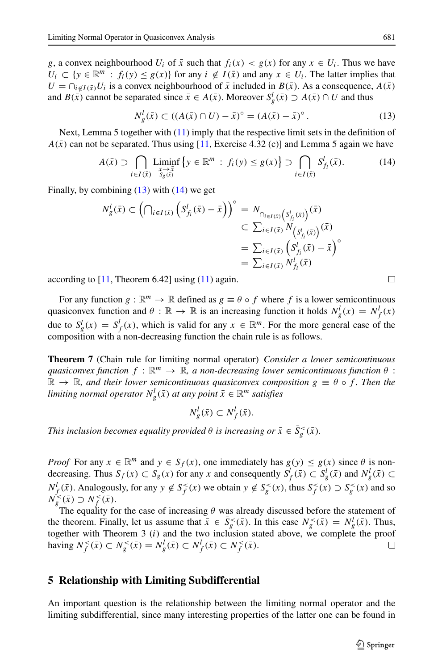*g*, a convex neighbourhood  $U_i$  of  $\bar{x}$  such that  $f_i(x) < g(x)$  for any  $x \in U_i$ . Thus we have  $U_i \subset \{y \in \mathbb{R}^m : f_i(y) \leq g(x)\}\$  for any  $i \notin I(\bar{x})$  and any  $x \in U_i$ . The latter implies that  $U = \bigcap_{i \notin I(\bar{x})} U_i$  is a convex neighbourhood of  $\bar{x}$  included in  $B(\bar{x})$ . As a consequence,  $A(\bar{x})$ and *B*( $\bar{x}$ ) cannot be separated since  $\bar{x} \in A(\bar{x})$ . Moreover  $S_g^l(\bar{x}) \supset A(\bar{x}) \cap U$  and thus

<span id="page-12-1"></span>
$$
N_g^l(\bar{x}) \subset ((A(\bar{x}) \cap U) - \bar{x})^{\circ} = (A(\bar{x}) - \bar{x})^{\circ}.
$$
 (13)

Next, Lemma 5 together with [\(11\)](#page-11-0) imply that the respective limit sets in the definition of  $A(\bar{x})$  can not be separated. Thus using [\[11,](#page-16-4) Exercise 4.32 (c)] and Lemma 5 again we have

<span id="page-12-2"></span>
$$
A(\bar{x}) \supset \bigcap_{i \in I(\bar{x})} \underset{\substack{x \to \bar{x} \\ s_g(\bar{x})}}{\text{Limit}} \left\{ y \in \mathbb{R}^m : f_i(y) \le g(x) \right\} \supset \bigcap_{i \in I(\bar{x})} S_{f_i}^l(\bar{x}). \tag{14}
$$

Finally, by combining  $(13)$  with  $(14)$  we get

$$
N_g^l(\bar{x}) \subset \left(\bigcap_{i \in I(\bar{x})} \left(S_{f_i}^l(\bar{x}) - \bar{x}\right)\right)^\circ = N_{\bigcap_{i \in I(\bar{x})} \left(S_{f_i}^l(\bar{x})\right)}\n\subset \sum_{i \in I(\bar{x})} N_{\left(S_{f_i}^l(\bar{x})\right)}(\bar{x})\n= \sum_{i \in I(\bar{x})} \left(S_{f_i}^l(\bar{x}) - \bar{x}\right)^\circ\n= \sum_{i \in I(\bar{x})} N_{f_i}^l(\bar{x})
$$

according to  $[11,$  Theorem 6.42] using  $(11)$  again.

For any function  $g : \mathbb{R}^m \to \mathbb{R}$  defined as  $g \equiv \theta \circ f$  where f is a lower semicontinuous quasiconvex function and  $\theta$  :  $\mathbb{R} \to \mathbb{R}$  is an increasing function it holds  $N_g^l(x) = N_f^l(x)$ due to  $S_g^l(x) = S_f^l(x)$ , which is valid for any  $x \in \mathbb{R}^m$ . For the more general case of the composition with a non-decreasing function the chain rule is as follows.

**Theorem 7** (Chain rule for limiting normal operator) *Consider a lower semicontinuous quasiconvex function*  $f : \mathbb{R}^m \to \mathbb{R}$ , a non-decreasing lower semicontinuous function  $\theta$ :  $\mathbb{R} \to \mathbb{R}$ , and their lower semicontinuous quasiconvex composition  $g \equiv \theta \circ f$ . Then the *limiting normal operator*  $N_g^l(\bar{x})$  *at any point*  $\bar{x} \in \mathbb{R}^m$  *satisfies* 

$$
N_g^l(\bar{x}) \subset N_f^l(\bar{x}).
$$

*This inclusion becomes equality provided*  $\theta$  *<i>is increasing or*  $\bar{x} \in \bar{S}_g^<(\bar{x})$ *.* 

*Proof* For any  $x \in \mathbb{R}^m$  and  $y \in S_f(x)$ , one immediately has  $g(y) \leq g(x)$  since  $\theta$  is nondecreasing. Thus  $S_f(x) \subset S_g(x)$  for any *x* and consequently  $S_f^l(\bar{x}) \subset S_g^l(\bar{x})$  and  $N_g^l(\bar{x}) \subset S_g^l(\bar{x})$  $N_f^l(\bar{x})$ . Analogously, for any  $y \notin S_f^<(x)$  we obtain  $y \notin S_g^<(x)$ , thus  $S_f^<(x) \supset S_g^<(x)$  and so  $N_g^{\leq}(\bar{x}) \supset N_f^{\leq}(\bar{x})$ .

The equality for the case of increasing  $\theta$  was already discussed before the statement of the theorem. Finally, let us assume that  $\bar{x} \in \bar{S}_g^{\lt}(\bar{x})$ . In this case  $N_g^{\lt}(\bar{x}) = N_g^l(\bar{x})$ . Thus, together with Theorem 3 (*i*) and the two inclusion stated above, we complete the proof having  $N_f^<( \bar{x} )$  ⊂  $N_g^<( \bar{x} ) = N_g^l( \bar{x} )$  ⊂  $N_f^l( \bar{x} )$  ⊂  $N_f^<( \bar{x} )$ . □

#### <span id="page-12-0"></span>**5 Relationship with Limiting Subdifferential**

An important question is the relationship between the limiting normal operator and the limiting subdifferential, since many interesting properties of the latter one can be found in

 $\Box$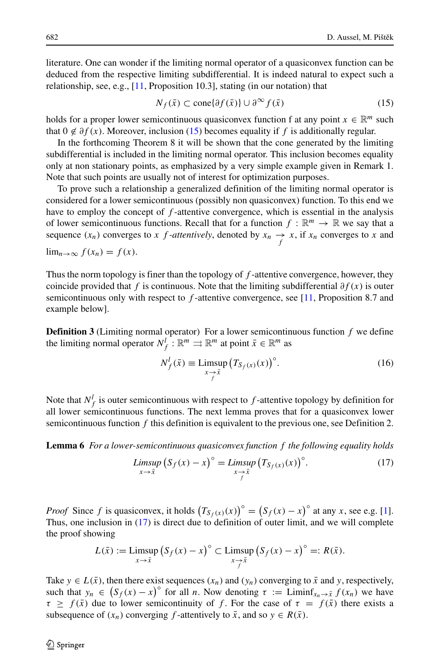literature. One can wonder if the limiting normal operator of a quasiconvex function can be deduced from the respective limiting subdifferential. It is indeed natural to expect such a relationship, see, e.g., [\[11,](#page-16-4) Proposition 10.3], stating (in our notation) that

<span id="page-13-0"></span>
$$
N_f(\bar{x}) \subset \text{cone}\{\partial f(\bar{x})\} \cup \partial^{\infty} f(\bar{x})
$$
\n(15)

holds for a proper lower semicontinuous quasiconvex function f at any point  $x \in \mathbb{R}^m$  such that  $0 \notin \partial f(x)$ . Moreover, inclusion [\(15\)](#page-13-0) becomes equality if f is additionally regular.

In the forthcoming Theorem 8 it will be shown that the cone generated by the limiting subdifferential is included in the limiting normal operator. This inclusion becomes equality only at non stationary points, as emphasized by a very simple example given in Remark 1. Note that such points are usually not of interest for optimization purposes.

To prove such a relationship a generalized definition of the limiting normal operator is considered for a lower semicontinuous (possibly non quasiconvex) function. To this end we have to employ the concept of *f* -attentive convergence, which is essential in the analysis of lower semicontinuous functions. Recall that for a function  $f : \mathbb{R}^m \to \mathbb{R}$  we say that a sequence  $(x_n)$  converges to *x f -attentively*, denoted by  $x_n \rightarrow x$ , if  $x_n$  converges to *x* and

 $\lim_{n\to\infty} f(x_n) = f(x)$ .

Thus the norm topology is finer than the topology of *f* -attentive convergence, however, they coincide provided that *f* is continuous. Note that the limiting subdifferential *∂f (x)* is outer semicontinuous only with respect to *f* -attentive convergence, see [\[11,](#page-16-4) Proposition 8.7 and example below].

**Definition 3** (Limiting normal operator) For a lower semicontinuous function *f* we define the limiting normal operator  $N_f^l : \mathbb{R}^m \rightrightarrows \mathbb{R}^m$  at point  $\bar{x} \in \mathbb{R}^m$  as

$$
N_f^l(\bar{x}) \equiv \limsup_{\substack{x \to \bar{x} \\ f}} \left( T_{S_f(x)}(x) \right)^{\circ} . \tag{16}
$$

Note that  $N_f^l$  is outer semicontinuous with respect to  $f$ -attentive topology by definition for all lower semicontinuous functions. The next lemma proves that for a quasiconvex lower semicontinuous function *f* this definition is equivalent to the previous one, see Definition 2.

**Lemma 6** *For a lower-semicontinuous quasiconvex function f the following equality holds*

<span id="page-13-1"></span>
$$
\limsup_{x \to \bar{x}} \left( S_f(x) - x \right)^\circ = \limsup_{\substack{x \to \bar{x} \\ f}} \left( T_{S_f(x)}(x) \right)^\circ. \tag{17}
$$

*Proof* Since *f* is quasiconvex, it holds  $(T_{S_f(x)}(x))^{\circ} = (S_f(x) - x)^{\circ}$  at any *x*, see e.g. [\[1\]](#page-16-6). Thus, one inclusion in [\(17\)](#page-13-1) is direct due to definition of outer limit, and we will complete the proof showing

$$
L(\bar{x}) := \limsup_{x \to \bar{x}} \left( S_f(x) - x \right)^{\circ} \subset \limsup_{\substack{x \to \bar{x} \\ f}} \left( S_f(x) - x \right)^{\circ} =: R(\bar{x}).
$$

Take  $y \in L(\bar{x})$ , then there exist sequences  $(x_n)$  and  $(y_n)$  converging to  $\bar{x}$  and  $y$ , respectively, such that  $y_n \in (S_f(x) - x)^\circ$  for all *n*. Now denoting  $\tau := \text{Limit}_{x_n \to \bar{x}} f(x_n)$  we have  $\tau \geq f(\bar{x})$  due to lower semicontinuity of *f*. For the case of  $\tau = f(\bar{x})$  there exists a subsequence of  $(x_n)$  converging *f*-attentively to  $\bar{x}$ , and so  $y \in R(\bar{x})$ .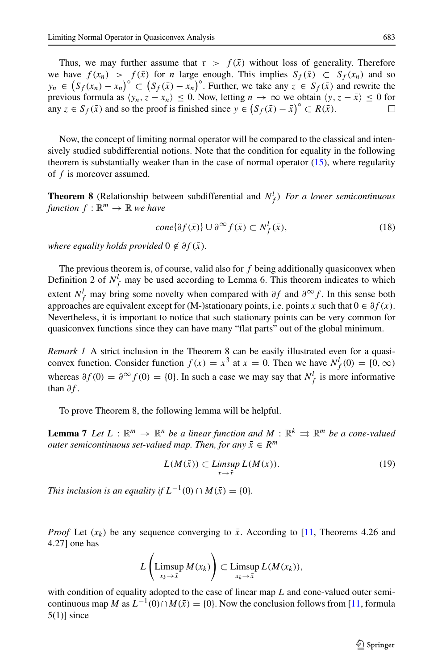Thus, we may further assume that  $\tau > f(\bar{x})$  without loss of generality. Therefore we have  $f(x_n) > f(\bar{x})$  for *n* large enough. This implies  $S_f(\bar{x}) \subset S_f(x_n)$  and so  $y_n \in (S_f(x_n) - x_n)^\circ \subset (S_f(\bar{x}) - x_n)^\circ$ . Further, we take any  $z \in S_f(\bar{x})$  and rewrite the previous formula as  $\langle y_n, z - x_n \rangle \le 0$ . Now, letting  $n \to \infty$  we obtain  $\langle y, z - \bar{x} \rangle \le 0$  for any  $z \in S_{\epsilon}(\bar{x})$  and so the proof is finished since  $y \in (S_{\epsilon}(\bar{x}) - \bar{x})^{\circ} \subset R(\bar{x})$ . any  $z \in S_f(\bar{x})$  and so the proof is finished since  $y \in (S_f(\bar{x}) - \bar{x})^\circ \subset R(\bar{x})$ .

Now, the concept of limiting normal operator will be compared to the classical and intensively studied subdifferential notions. Note that the condition for equality in the following theorem is substantially weaker than in the case of normal operator [\(15\)](#page-13-0), where regularity of *f* is moreover assumed.

**Theorem 8** (Relationship between subdifferential and  $N_f^l$ ) *For a lower semicontinuous function*  $f : \mathbb{R}^m \to \mathbb{R}$  *we have* 

<span id="page-14-0"></span>
$$
cone{\partial f(\bar{x})} \cup \partial^{\infty} f(\bar{x}) \subset N_f^l(\bar{x}),
$$
\n(18)

*where equality holds provided*  $0 \notin \partial f(\bar{x})$ *.* 

The previous theorem is, of course, valid also for *f* being additionally quasiconvex when Definition 2 of  $N_f^l$  may be used according to Lemma 6. This theorem indicates to which extent  $N_f^l$  may bring some novelty when compared with  $\partial f$  and  $\partial^\infty f$ . In this sense both approaches are equivalent except for (M-)stationary points, i.e. points *x* such that 0 ∈ *∂f (x)*. Nevertheless, it is important to notice that such stationary points can be very common for quasiconvex functions since they can have many "flat parts" out of the global minimum.

*Remark 1* A strict inclusion in the Theorem 8 can be easily illustrated even for a quasiconvex function. Consider function  $f(x) = x^3$  at  $x = 0$ . Then we have  $N_f^l(0) = [0, \infty)$ whereas  $\partial f(0) = \partial^{\infty} f(0) = \{0\}$ . In such a case we may say that  $N_f^l$  is more informative than *∂f* .

To prove Theorem 8, the following lemma will be helpful.

**Lemma 7** *Let*  $L : \mathbb{R}^m \to \mathbb{R}^n$  *be a linear function and*  $M : \mathbb{R}^k \rightrightarrows \mathbb{R}^m$  *be a cone-valued outer semicontinuous set-valued map. Then, for any*  $\bar{x} \in R^m$ 

$$
L(M(\bar{x})) \subset \limsup_{x \to \bar{x}} L(M(x)). \tag{19}
$$

*This inclusion is an equality if*  $L^{-1}(0) \cap M(\bar{x}) = \{0\}$ *.* 

*Proof* Let  $(x_k)$  be any sequence converging to  $\bar{x}$ . According to [\[11,](#page-16-4) Theorems 4.26 and 4.27] one has

$$
L\left(\underset{x_k\to\bar{x}}{\text{Limsup}}\,M(x_k)\right)\subset\underset{x_k\to\bar{x}}{\text{Limsup}}\,L(M(x_k)),
$$

with condition of equality adopted to the case of linear map *L* and cone-valued outer semicontinuous map *M* as  $L^{-1}(0) \cap M(\bar{x}) = \{0\}$ . Now the conclusion follows from [\[11,](#page-16-4) formula  $5(1)$ ] since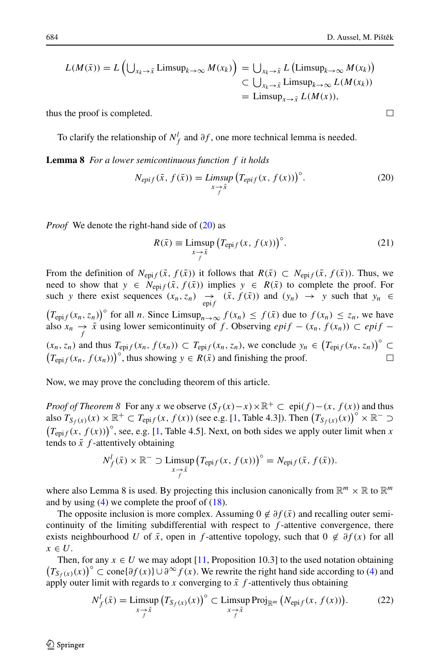$\Box$ 

$$
L(M(\bar{x})) = L\left(\bigcup_{x_k \to \bar{x}} \text{Limsup}_{k \to \infty} M(x_k)\right) = \bigcup_{x_k \to \bar{x}} L\left(\text{Limsup}_{k \to \infty} M(x_k)\right)
$$
  

$$
\subset \bigcup_{x_k \to \bar{x}} \text{Limsup}_{k \to \infty} L(M(x_k))
$$
  

$$
= \text{Limsup}_{x \to \bar{x}} L(M(x)),
$$

thus the proof is completed.

To clarify the relationship of  $N_f^l$  and  $\partial f$ , one more technical lemma is needed.

**Lemma 8** *For a lower semicontinuous function f it holds*

<span id="page-15-0"></span>
$$
N_{epif}(\bar{x}, f(\bar{x})) = \limsup_{x \to \bar{x}} \left( T_{epif}(x, f(x)) \right)^{\circ}.
$$
 (20)

*Proof* We denote the right-hand side of [\(20\)](#page-15-0) as

$$
R(\bar{x}) \equiv \limsup_{\substack{x \to \bar{x} \\ f}} \left( T_{\text{epi}f}(x, f(x)) \right)^{\circ} . \tag{21}
$$

From the definition of  $N_{epif}(\bar{x}, f(\bar{x}))$  it follows that  $R(\bar{x}) \subset N_{epif}(\bar{x}, f(\bar{x}))$ . Thus, we need to show that  $y \in N_{epif}(\bar{x}, f(\bar{x}))$  implies  $y \in R(\bar{x})$  to complete the proof. For such *y* there exist sequences  $(x_n, z_n) \rightarrow (x, f(\bar{x}))$  and  $(y_n) \rightarrow y$  such that  $y_n \in$  $(T_{\text{epi}f}(x_n, z_n))^{\circ}$  for all *n*. Since Limsup<sub>*n*→∞</sub>  $f(x_n) \leq f(\bar{x})$  due to  $f(x_n) \leq z_n$ , we have also  $x_n \rightarrow \bar{x}$  using lower semicontinuity of *f*. Observing  $epif - (x_n, f(x_n)) \subset epif (x_n, z_n)$  and thus  $T_{epif}(x_n, f(x_n)) \subset T_{epif}(x_n, z_n)$ , we conclude  $y_n \in (T_{epif}(x_n, z_n))^{\circ} \subset$  $(T_{\text{epi}f}(x_n, f(x_n)))$ <sup>°</sup>, thus showing  $y \in R(\bar{x})$  and finishing the proof.

Now, we may prove the concluding theorem of this article.

*Proof of Theorem 8* For any *x* we observe  $(S_f(x) - x) \times \mathbb{R}^+ \subset \text{epi}(f) - (x, f(x))$  and thus also  $T_{S_f(x)}(x) \times \mathbb{R}^+ \subset T_{\text{epi}f}(x, f(x))$  (see e.g. [\[1,](#page-16-6) Table 4.3]). Then  $(T_{S_f(x)}(x))^{\circ} \times \mathbb{R}^- \supset$  $(T_{\text{epi}f}(x, f(x)))^{\circ}$ , see, e.g. [\[1,](#page-16-6) Table 4.5]. Next, on both sides we apply outer limit when *x* tends to  $\bar{x}$   $f$ -attentively obtaining

$$
N_f^l(\bar{x}) \times \mathbb{R}^- \supset \limsup_{\substack{x \to \bar{x} \\ f}} \left( T_{\text{epi}f}(x, f(x)) \right)^\circ = N_{\text{epi}f}(\bar{x}, f(\bar{x})).
$$

where also Lemma 8 is used. By projecting this inclusion canonically from  $\mathbb{R}^m \times \mathbb{R}$  to  $\mathbb{R}^m$ and by using  $(4)$  we complete the proof of  $(18)$ .

The opposite inclusion is more complex. Assuming  $0 \notin \partial f(\bar{x})$  and recalling outer semicontinuity of the limiting subdifferential with respect to *f* -attentive convergence, there exists neighbourhood *U* of  $\bar{x}$ , open in *f*-attentive topology, such that  $0 \notin \partial f(x)$  for all  $x \in U$ .

Then, for any  $x \in U$  we may adopt [\[11,](#page-16-4) Proposition 10.3] to the used notation obtaining  $(T_{S_f(x)}(x))^{\circ}$  ⊂ cone{ $\partial f(x)$ }∪ $\partial^{\infty} f(x)$ . We rewrite the right hand side according to [\(4\)](#page-2-2) and apply outer limit with regards to *x* converging to  $\bar{x}$  *f*-attentively thus obtaining

<span id="page-15-1"></span>
$$
N_f^l(\bar{x}) = \limsup_{x \to \bar{x} \atop f} \left( T_{S_f(x)}(x) \right)^{\circ} \subset \limsup_{x \to \bar{x} \atop f} \text{Proj}_{\mathbb{R}^m} \left( N_{\text{epi}f}(x, f(x)) \right). \tag{22}
$$

 $\mathcal{D}$  Springer